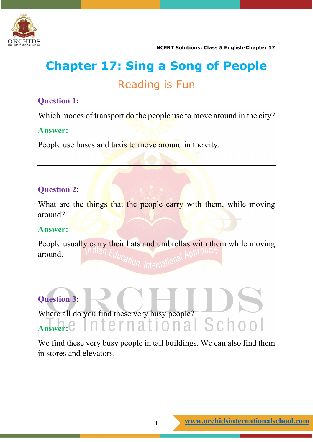

### **Chapter 17: Sing a Song of People** Reading is Fun

#### **Question 1:**

Which modes of transport do the people use to move around in the city?

#### **Answer:**

People use buses and taxis to move around in the city.

#### **Question 2:**

What are the things that the people carry with them, while moving around?

#### **Answer:**

People usually carry their hats and umbrellas with them while moving around.

#### **Question 3:**

Where all do you find these very busy people? Answer: C International School

We find these very busy people in tall buildings. We can also find them in stores and elevators.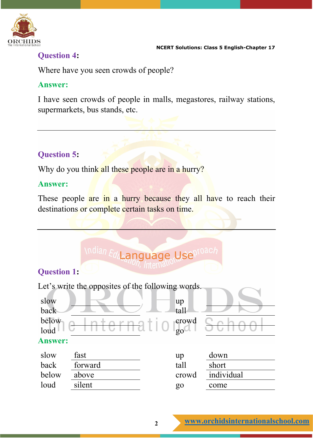

#### **Question 4:**

Where have you seen crowds of people?

#### **Answer:**

I have seen crowds of people in malls, megastores, railway stations, supermarkets, bus stands, etc.

#### **Question 5:**

Why do you think all these people are in a hurry?

#### **Answer:**

These people are in a hurry because they all have to reach their destinations or complete certain tasks on time.

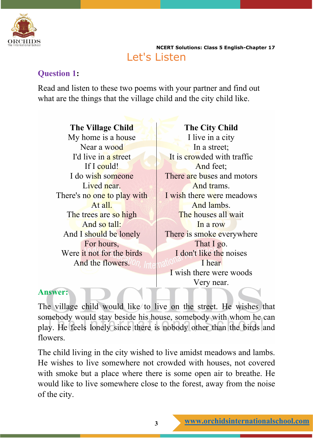

 **NCERT Solutions: Class 5 English-Chapter 17** Let's Listen

#### **Question 1:**

Read and listen to these two poems with your partner and find out what are the things that the village child and the city child like.

**The Village Child** My home is a house Near a wood I'd live in a street If I could! I do wish someone Lived near. There's no one to play with At all. The trees are so high And so tall: And I should be lonely For hours, Were it not for the birds And the flowers.

**The City Child** I live in a city In a street; It is crowded with traffic And feet; There are buses and motors And trams. I wish there were meadows And lambs. The houses all wait In a row There is smoke everywhere That I go. I don't like the noises I hear I wish there were woods Very near.

#### **Answer:**

The village child would like to live on the street. He wishes that somebody would stay beside his house, somebody with whom he can play. He feels lonely since there is nobody other than the birds and flowers.

The child living in the city wished to live amidst meadows and lambs. He wishes to live somewhere not crowded with houses, not covered with smoke but a place where there is some open air to breathe. He would like to live somewhere close to the forest, away from the noise of the city.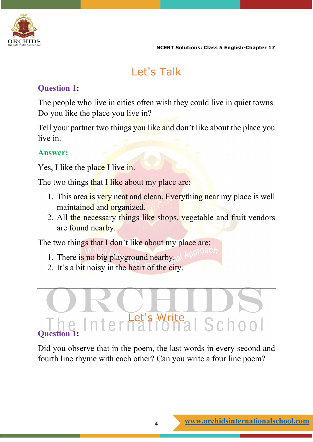

#### Let's Talk

#### **Question 1:**

The people who live in cities often wish they could live in quiet towns. Do you like the place you live in?

Tell your partner two things you like and don't like about the place you live in.

#### **Answer:**

Yes, I like the place I live in.

The two things that I like about my place are:

- 1. This area is very neat and clean. Everything near my place is well maintained and organized.
- 2. All the necessary things like shops, vegetable and fruit vendors are found nearby.

The two things that I don't like about my place are:

- 1. There is no big playground nearby.
- 2. It's a bit noisy in the heart of the city.

## Let's Write **Question 1:**

Did you observe that in the poem, the last words in every second and fourth line rhyme with each other? Can you write a four line poem?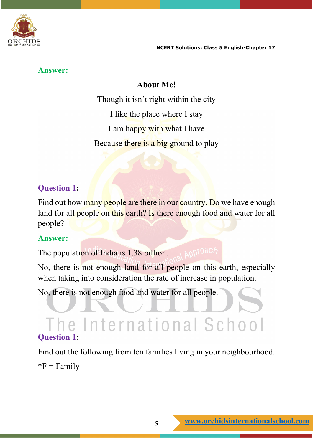

#### **Answer:**

#### **About Me!**

Though it isn't right within the city I like the place where I stay I am happy with what I have Because there is a big ground to play

#### **Question 1:**

Find out how many people are there in our country. Do we have enough land for all people on this earth? Is there enough food and water for all people?

#### **Answer:**

**AODTOAC/** The population of India is 1.38 billion.

No, there is not enough land for all people on this earth, especially when taking into consideration the rate of increase in population.

No, there is not enough food and water for all people.

#### he International School **Question 1:**

Find out the following from ten families living in your neighbourhood.

 $*F = Family$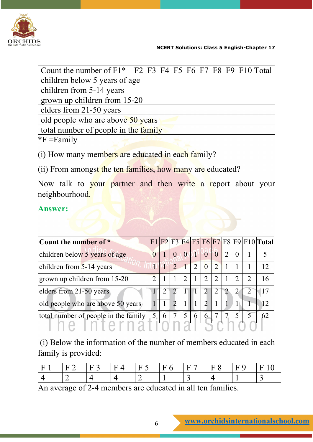

| Count the number of $F1*$ F2 F3 F4 F5 F6 F7 F8 F9 F10 Total |  |  |  |  |  |  |  |  |  |  |  |
|-------------------------------------------------------------|--|--|--|--|--|--|--|--|--|--|--|
| children below 5 years of age                               |  |  |  |  |  |  |  |  |  |  |  |
| children from 5-14 years                                    |  |  |  |  |  |  |  |  |  |  |  |
| grown up children from 15-20                                |  |  |  |  |  |  |  |  |  |  |  |
| elders from 21-50 years                                     |  |  |  |  |  |  |  |  |  |  |  |
| old people who are above 50 years                           |  |  |  |  |  |  |  |  |  |  |  |
| total number of people in the family                        |  |  |  |  |  |  |  |  |  |  |  |
| $*F = Family$                                               |  |  |  |  |  |  |  |  |  |  |  |

(i) How many members are educated in each family?

(ii) From amongst the ten families, how many are educated?

Now talk to your partner and then write a report about your neighbourhood.

#### **Answer:**

| Count the number of *                |               |                             |                  |   |                |                |               |  | F1 F2 F3 F4 F5 F6 F7 F8 F9 F10 Total |
|--------------------------------------|---------------|-----------------------------|------------------|---|----------------|----------------|---------------|--|--------------------------------------|
| children below 5 years of age        |               | $\overline{0}$              | $\boldsymbol{0}$ |   | $\overline{0}$ | $\theta$       | 2             |  |                                      |
| children from 5-14 years             |               | $\mathcal{L}$               |                  | 2 | $\overline{0}$ | $\overline{2}$ |               |  | 12                                   |
| grown up children from 15-20         |               |                             | 2                |   | $\mathfrak{D}$ | 2              |               |  | 16                                   |
| elders from 21-50 years              | $\mathcal{L}$ | $\mathcal{D}$               |                  |   | $\overline{2}$ | $\overline{2}$ | $\mathcal{L}$ |  | 17                                   |
| old people who are above 50 years    |               | $\mathcal{D}_{\mathcal{L}}$ |                  |   | 2              |                |               |  | 12                                   |
| total number of people in the family | 6             |                             | $\overline{5}$   | 6 | 6              |                |               |  | 62                                   |
|                                      |               |                             |                  |   |                |                |               |  |                                      |

(i) Below the information of the number of members educated in each family is provided:

|  | -н | – |  |  |
|--|----|---|--|--|
|  |    |   |  |  |

An average of 2-4 members are educated in all ten families.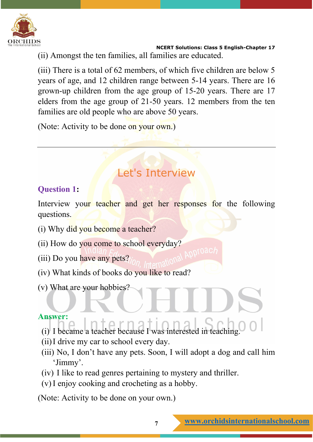

 **NCERT Solutions: Class 5 English-Chapter 17** (ii) Amongst the ten families, all families are educated.

(iii) There is a total of 62 members, of which five children are below 5 years of age, and 12 children range between 5-14 years. There are 16 grown-up children from the age group of 15-20 years. There are 17 elders from the age group of 21-50 years. 12 members from the ten families are old people who are above 50 years.

(Note: Activity to be done on your own.)

#### Let's Interview

#### **Question 1:**

Interview your teacher and get her responses for the following questions.

- (i) Why did you become a teacher?
- (ii) How do you come to school everyday?
- (iii) Do you have any pets?
- (iv) What kinds of books do you like to read?
- (v) What are your hobbies?

#### **Answer:**

- (i) I became a teacher because I was interested in teaching.
- (ii)I drive my car to school every day.
- (iii) No, I don't have any pets. Soon, I will adopt a dog and call him 'Jimmy'.
- (iv) I like to read genres pertaining to mystery and thriller.
- (v)I enjoy cooking and crocheting as a hobby.

(Note: Activity to be done on your own.)